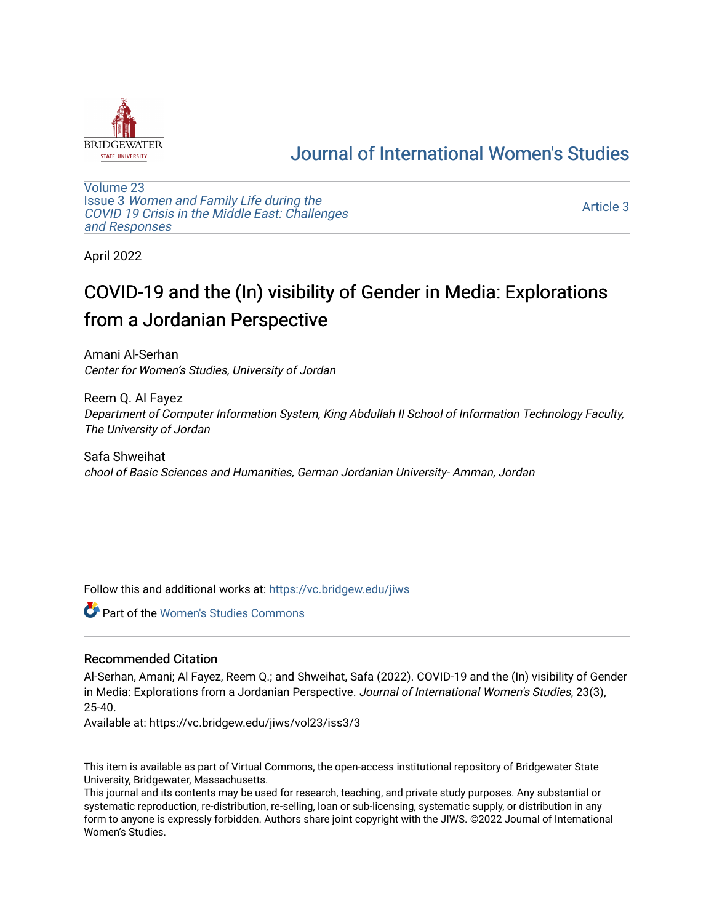

## [Journal of International Women's Studies](https://vc.bridgew.edu/jiws)

[Volume 23](https://vc.bridgew.edu/jiws/vol23) Issue 3 [Women and Family Life during the](https://vc.bridgew.edu/jiws/vol23/iss3)  [COVID 19 Crisis in the Middle East: Challenges](https://vc.bridgew.edu/jiws/vol23/iss3) [and Responses](https://vc.bridgew.edu/jiws/vol23/iss3) 

[Article 3](https://vc.bridgew.edu/jiws/vol23/iss3/3) 

April 2022

# COVID-19 and the (In) visibility of Gender in Media: Explorations from a Jordanian Perspective

Amani Al-Serhan Center for Women's Studies, University of Jordan

Reem Q. Al Fayez Department of Computer Information System, King Abdullah II School of Information Technology Faculty, The University of Jordan

Safa Shweihat chool of Basic Sciences and Humanities, German Jordanian University- Amman, Jordan

Follow this and additional works at: [https://vc.bridgew.edu/jiws](https://vc.bridgew.edu/jiws?utm_source=vc.bridgew.edu%2Fjiws%2Fvol23%2Fiss3%2F3&utm_medium=PDF&utm_campaign=PDFCoverPages)

Part of the [Women's Studies Commons](http://network.bepress.com/hgg/discipline/561?utm_source=vc.bridgew.edu%2Fjiws%2Fvol23%2Fiss3%2F3&utm_medium=PDF&utm_campaign=PDFCoverPages) 

#### Recommended Citation

Al-Serhan, Amani; Al Fayez, Reem Q.; and Shweihat, Safa (2022). COVID-19 and the (In) visibility of Gender in Media: Explorations from a Jordanian Perspective. Journal of International Women's Studies, 23(3), 25-40.

Available at: https://vc.bridgew.edu/jiws/vol23/iss3/3

This item is available as part of Virtual Commons, the open-access institutional repository of Bridgewater State University, Bridgewater, Massachusetts.

This journal and its contents may be used for research, teaching, and private study purposes. Any substantial or systematic reproduction, re-distribution, re-selling, loan or sub-licensing, systematic supply, or distribution in any form to anyone is expressly forbidden. Authors share joint copyright with the JIWS. ©2022 Journal of International Women's Studies.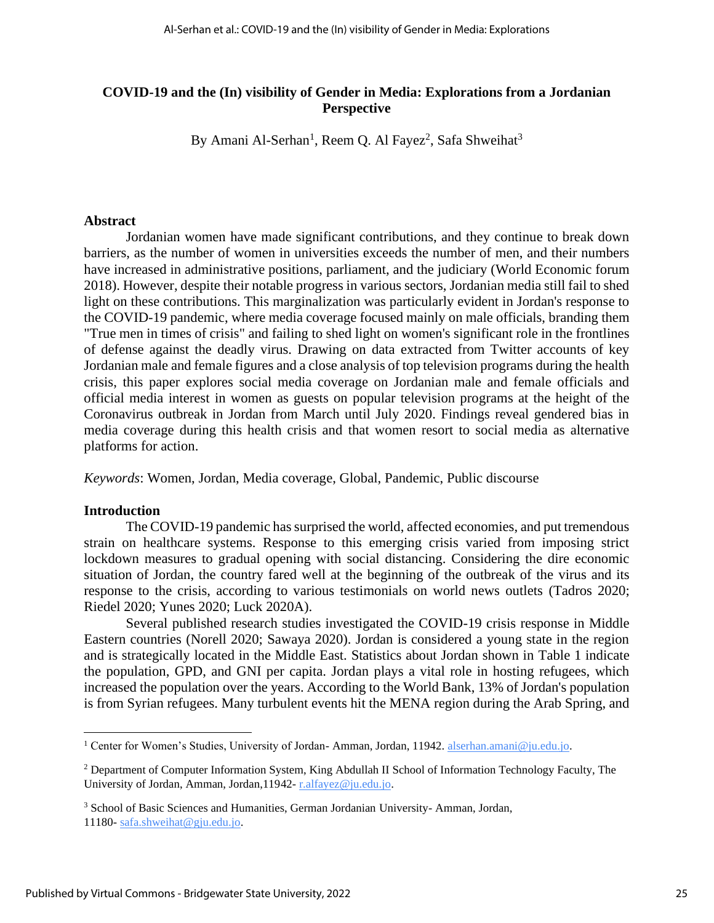## **COVID-19 and the (In) visibility of Gender in Media: Explorations from a Jordanian Perspective**

By Amani Al-Serhan<sup>1</sup>, Reem Q. Al Fayez<sup>2</sup>, Safa Shweihat<sup>3</sup>

#### **Abstract**

Jordanian women have made significant contributions, and they continue to break down barriers, as the number of women in universities exceeds the number of men, and their numbers have increased in administrative positions, parliament, and the judiciary (World Economic forum 2018). However, despite their notable progress in various sectors, Jordanian media still fail to shed light on these contributions. This marginalization was particularly evident in Jordan's response to the COVID-19 pandemic, where media coverage focused mainly on male officials, branding them "True men in times of crisis" and failing to shed light on women's significant role in the frontlines of defense against the deadly virus. Drawing on data extracted from Twitter accounts of key Jordanian male and female figures and a close analysis of top television programs during the health crisis, this paper explores social media coverage on Jordanian male and female officials and official media interest in women as guests on popular television programs at the height of the Coronavirus outbreak in Jordan from March until July 2020. Findings reveal gendered bias in media coverage during this health crisis and that women resort to social media as alternative platforms for action.

*Keywords*: Women, Jordan, Media coverage, Global, Pandemic, Public discourse

#### **Introduction**

The COVID-19 pandemic has surprised the world, affected economies, and put tremendous strain on healthcare systems. Response to this emerging crisis varied from imposing strict lockdown measures to gradual opening with social distancing. Considering the dire economic situation of Jordan, the country fared well at the beginning of the outbreak of the virus and its response to the crisis, according to various testimonials on world news outlets (Tadros 2020; Riedel 2020; Yunes 2020; Luck 2020A).

Several published research studies investigated the COVID-19 crisis response in Middle Eastern countries (Norell 2020; Sawaya 2020). Jordan is considered a young state in the region and is strategically located in the Middle East. Statistics about Jordan shown in Table 1 indicate the population, GPD, and GNI per capita. Jordan plays a vital role in hosting refugees, which increased the population over the years. According to the World Bank, 13% of Jordan's population is from Syrian refugees. Many turbulent events hit the MENA region during the Arab Spring, and

<sup>&</sup>lt;sup>1</sup> Center for Women's Studies, University of Jordan- Amman, Jordan, 11942. **alserhan.amani@ju.edu.jo.** 

<sup>&</sup>lt;sup>2</sup> Department of Computer Information System, King Abdullah II School of Information Technology Faculty, The University of Jordan, Amman, Jordan,11942- [r.alfayez@ju.edu.jo.](mailto:r.alfayez@ju.edu.jo)

<sup>&</sup>lt;sup>3</sup> School of Basic Sciences and Humanities, German Jordanian University- Amman, Jordan, 11180- [safa.shweihat@gju.edu.jo.](mailto:safa.shweihat@gju.edu.jo)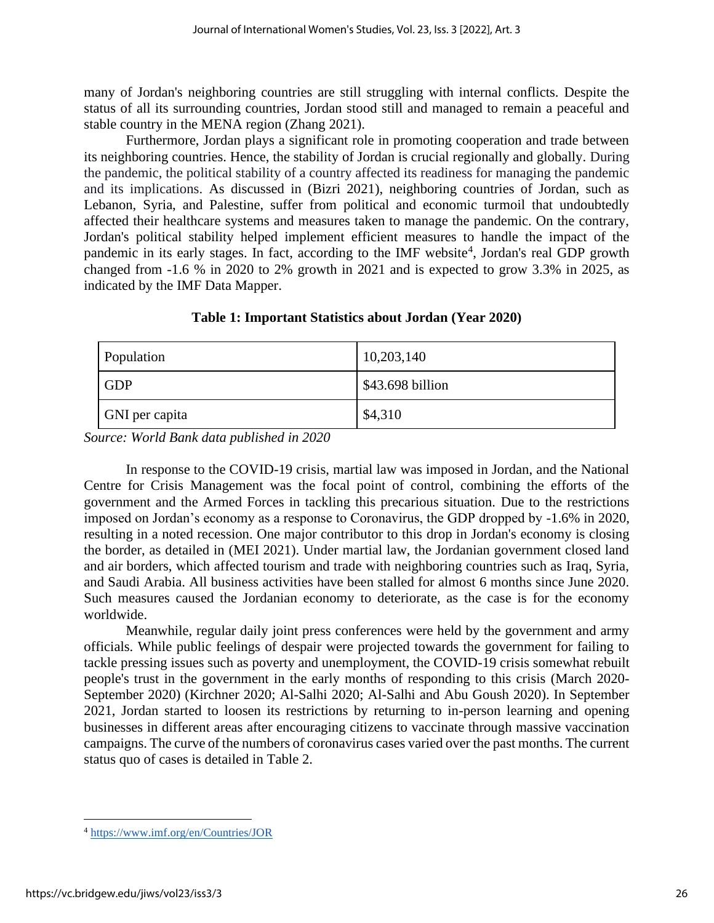many of Jordan's neighboring countries are still struggling with internal conflicts. Despite the status of all its surrounding countries, Jordan stood still and managed to remain a peaceful and stable country in the MENA region (Zhang 2021).

Furthermore, Jordan plays a significant role in promoting cooperation and trade between its neighboring countries. Hence, the stability of Jordan is crucial regionally and globally. During the pandemic, the political stability of a country affected its readiness for managing the pandemic and its implications. As discussed in (Bizri 2021), neighboring countries of Jordan, such as Lebanon, Syria, and Palestine, suffer from political and economic turmoil that undoubtedly affected their healthcare systems and measures taken to manage the pandemic. On the contrary, Jordan's political stability helped implement efficient measures to handle the impact of the pandemic in its early stages. In fact, according to the IMF website<sup>4</sup>, Jordan's real GDP growth changed from -1.6 % in 2020 to 2% growth in 2021 and is expected to grow 3.3% in 2025, as indicated by the IMF Data Mapper.

| Population     | 10,203,140       |
|----------------|------------------|
| <b>GDP</b>     | \$43.698 billion |
| GNI per capita | \$4,310          |

**Table 1: Important Statistics about Jordan (Year 2020)**

*Source: World Bank data published in 2020*

In response to the COVID-19 crisis, martial law was imposed in Jordan, and the National Centre for Crisis Management was the focal point of control, combining the efforts of the government and the Armed Forces in tackling this precarious situation. Due to the restrictions imposed on Jordan's economy as a response to Coronavirus, the GDP dropped by -1.6% in 2020, resulting in a noted recession. One major contributor to this drop in Jordan's economy is closing the border, as detailed in (MEI 2021). Under martial law, the Jordanian government closed land and air borders, which affected tourism and trade with neighboring countries such as Iraq, Syria, and Saudi Arabia. All business activities have been stalled for almost 6 months since June 2020. Such measures caused the Jordanian economy to deteriorate, as the case is for the economy worldwide.

Meanwhile, regular daily joint press conferences were held by the government and army officials. While public feelings of despair were projected towards the government for failing to tackle pressing issues such as poverty and unemployment, the COVID-19 crisis somewhat rebuilt people's trust in the government in the early months of responding to this crisis (March 2020- September 2020) (Kirchner 2020; Al-Salhi 2020; Al-Salhi and Abu Goush 2020). In September 2021, Jordan started to loosen its restrictions by returning to in-person learning and opening businesses in different areas after encouraging citizens to vaccinate through massive vaccination campaigns. The curve of the numbers of coronavirus cases varied over the past months. The current status quo of cases is detailed in Table 2.

<sup>4</sup> <https://www.imf.org/en/Countries/JOR>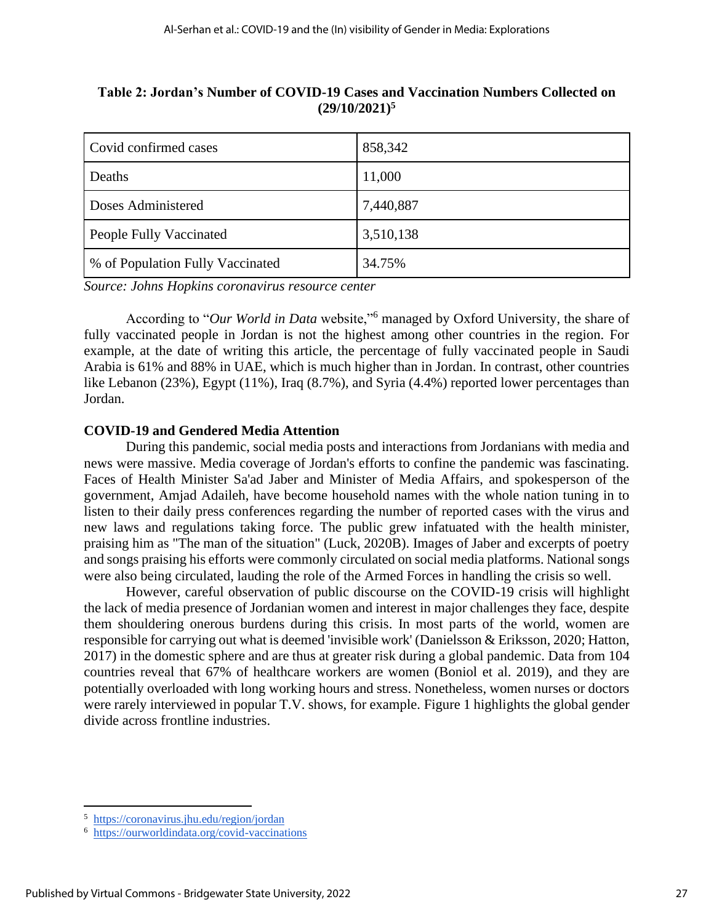| Covid confirmed cases            | 858,342   |
|----------------------------------|-----------|
| Deaths                           | 11,000    |
| Doses Administered               | 7,440,887 |
| People Fully Vaccinated          | 3,510,138 |
| % of Population Fully Vaccinated | 34.75%    |

## **Table 2: Jordan's Number of COVID-19 Cases and Vaccination Numbers Collected on (29/10/2021)<sup>5</sup>**

*Source: Johns Hopkins coronavirus resource center*

According to "*Our World in Data* website,"<sup>6</sup> managed by Oxford University, the share of fully vaccinated people in Jordan is not the highest among other countries in the region. For example, at the date of writing this article, the percentage of fully vaccinated people in Saudi Arabia is 61% and 88% in UAE, which is much higher than in Jordan. In contrast, other countries like Lebanon (23%), Egypt (11%), Iraq (8.7%), and Syria (4.4%) reported lower percentages than Jordan.

## **COVID-19 and Gendered Media Attention**

During this pandemic, social media posts and interactions from Jordanians with media and news were massive. Media coverage of Jordan's efforts to confine the pandemic was fascinating. Faces of Health Minister Sa'ad Jaber and Minister of Media Affairs, and spokesperson of the government, Amjad Adaileh, have become household names with the whole nation tuning in to listen to their daily press conferences regarding the number of reported cases with the virus and new laws and regulations taking force. The public grew infatuated with the health minister, praising him as "The man of the situation" (Luck, 2020B). Images of Jaber and excerpts of poetry and songs praising his efforts were commonly circulated on social media platforms. National songs were also being circulated, lauding the role of the Armed Forces in handling the crisis so well.

However, careful observation of public discourse on the COVID-19 crisis will highlight the lack of media presence of Jordanian women and interest in major challenges they face, despite them shouldering onerous burdens during this crisis. In most parts of the world, women are responsible for carrying out what is deemed 'invisible work' (Danielsson & Eriksson, 2020; Hatton, 2017) in the domestic sphere and are thus at greater risk during a global pandemic. Data from 104 countries reveal that 67% of healthcare workers are women (Boniol et al. 2019), and they are potentially overloaded with long working hours and stress. Nonetheless, women nurses or doctors were rarely interviewed in popular T.V. shows, for example. Figure 1 highlights the global gender divide across frontline industries.

<sup>5</sup> https://coronavirus.jhu.edu/region/jordan

<sup>6</sup> <https://ourworldindata.org/covid-vaccinations>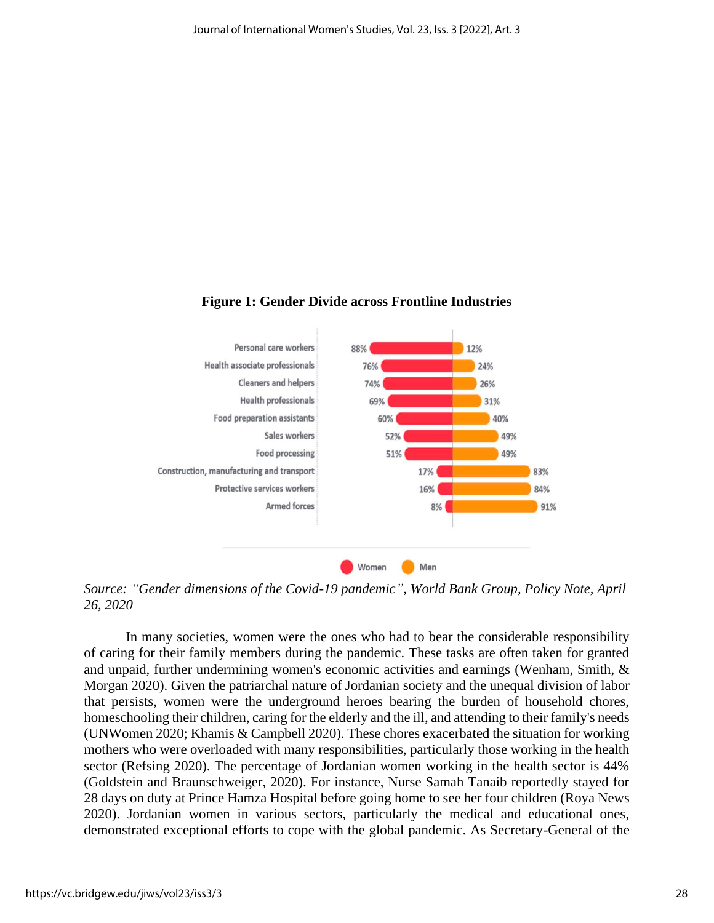

## **Figure 1: Gender Divide across Frontline Industries**

*Source: "Gender dimensions of the Covid-19 pandemic", World Bank Group, Policy Note, April 26, 2020*

In many societies, women were the ones who had to bear the considerable responsibility of caring for their family members during the pandemic. These tasks are often taken for granted and unpaid, further undermining women's economic activities and earnings (Wenham, Smith, & Morgan 2020). Given the patriarchal nature of Jordanian society and the unequal division of labor that persists, women were the underground heroes bearing the burden of household chores, homeschooling their children, caring for the elderly and the ill, and attending to their family's needs (UNWomen 2020; Khamis & Campbell 2020). These chores exacerbated the situation for working mothers who were overloaded with many responsibilities, particularly those working in the health sector (Refsing 2020). The percentage of Jordanian women working in the health sector is 44% (Goldstein and Braunschweiger, 2020). For instance, Nurse Samah Tanaib reportedly stayed for 28 days on duty at Prince Hamza Hospital before going home to see her four children (Roya News 2020). Jordanian women in various sectors, particularly the medical and educational ones, demonstrated exceptional efforts to cope with the global pandemic. As Secretary-General of the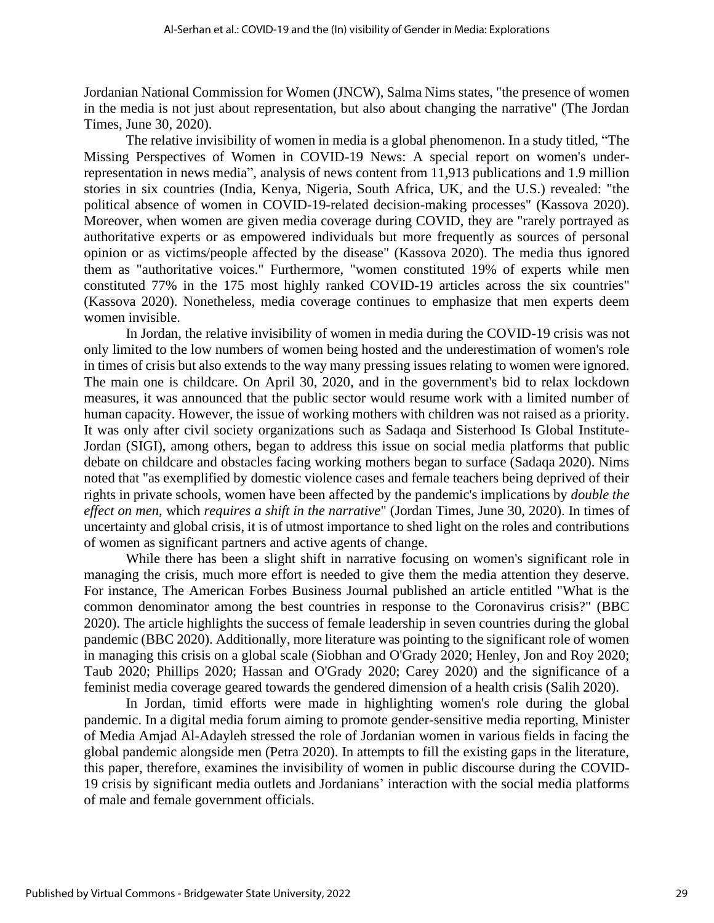Jordanian National Commission for Women (JNCW), Salma Nims states, "the presence of women in the media is not just about representation, but also about changing the narrative" (The Jordan Times, June 30, 2020).

The relative invisibility of women in media is a global phenomenon. In a study titled, "The Missing Perspectives of Women in COVID-19 News: A special report on women's underrepresentation in news media", analysis of news content from 11,913 publications and 1.9 million stories in six countries (India, Kenya, Nigeria, South Africa, UK, and the U.S.) revealed: "the political absence of women in COVID-19-related decision-making processes" (Kassova 2020). Moreover, when women are given media coverage during COVID, they are "rarely portrayed as authoritative experts or as empowered individuals but more frequently as sources of personal opinion or as victims/people affected by the disease" (Kassova 2020). The media thus ignored them as "authoritative voices." Furthermore, "women constituted 19% of experts while men constituted 77% in the 175 most highly ranked COVID-19 articles across the six countries" (Kassova 2020). Nonetheless, media coverage continues to emphasize that men experts deem women invisible.

In Jordan, the relative invisibility of women in media during the COVID-19 crisis was not only limited to the low numbers of women being hosted and the underestimation of women's role in times of crisis but also extends to the way many pressing issues relating to women were ignored. The main one is childcare. On April 30, 2020, and in the government's bid to relax lockdown measures, it was announced that the public sector would resume work with a limited number of human capacity. However, the issue of working mothers with children was not raised as a priority. It was only after civil society organizations such as Sadaqa and Sisterhood Is Global Institute-Jordan (SIGI), among others, began to address this issue on social media platforms that public debate on childcare and obstacles facing working mothers began to surface (Sadaqa 2020). Nims noted that "as exemplified by domestic violence cases and female teachers being deprived of their rights in private schools, women have been affected by the pandemic's implications by *double the effect on men*, which *requires a shift in the narrative*" (Jordan Times, June 30, 2020). In times of uncertainty and global crisis, it is of utmost importance to shed light on the roles and contributions of women as significant partners and active agents of change.

While there has been a slight shift in narrative focusing on women's significant role in managing the crisis, much more effort is needed to give them the media attention they deserve. For instance, The American Forbes Business Journal published an article entitled "What is the common denominator among the best countries in response to the Coronavirus crisis?" (BBC 2020). The article highlights the success of female leadership in seven countries during the global pandemic (BBC 2020). Additionally, more literature was pointing to the significant role of women in managing this crisis on a global scale (Siobhan and O'Grady 2020; Henley, Jon and Roy 2020; Taub 2020; Phillips 2020; Hassan and O'Grady 2020; Carey 2020) and the significance of a feminist media coverage geared towards the gendered dimension of a health crisis (Salih 2020).

In Jordan, timid efforts were made in highlighting women's role during the global pandemic. In a digital media forum aiming to promote gender-sensitive media reporting, Minister of Media Amjad Al-Adayleh stressed the role of Jordanian women in various fields in facing the global pandemic alongside men (Petra 2020). In attempts to fill the existing gaps in the literature, this paper, therefore, examines the invisibility of women in public discourse during the COVID-19 crisis by significant media outlets and Jordanians' interaction with the social media platforms of male and female government officials.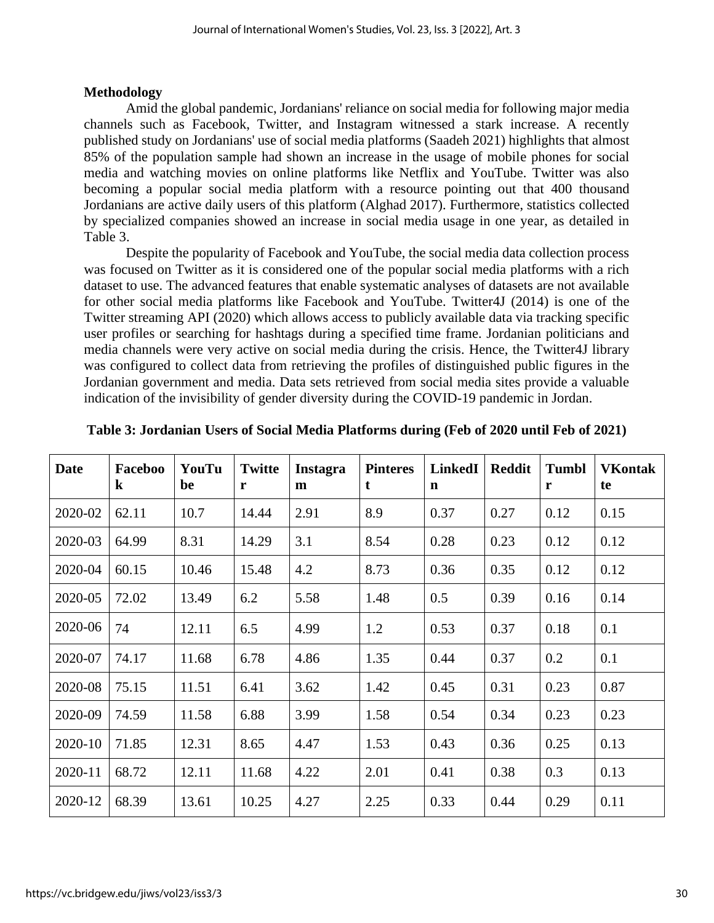## **Methodology**

Amid the global pandemic, Jordanians' reliance on social media for following major media channels such as Facebook, Twitter, and Instagram witnessed a stark increase. A recently published study on Jordanians' use of social media platforms (Saadeh 2021) highlights that almost 85% of the population sample had shown an increase in the usage of mobile phones for social media and watching movies on online platforms like Netflix and YouTube. Twitter was also becoming a popular social media platform with a resource pointing out that 400 thousand Jordanians are active daily users of this platform (Alghad 2017). Furthermore, statistics collected by specialized companies showed an increase in social media usage in one year, as detailed in Table 3.

Despite the popularity of Facebook and YouTube, the social media data collection process was focused on Twitter as it is considered one of the popular social media platforms with a rich dataset to use. The advanced features that enable systematic analyses of datasets are not available for other social media platforms like Facebook and YouTube. Twitter4J (2014) is one of the Twitter streaming API (2020) which allows access to publicly available data via tracking specific user profiles or searching for hashtags during a specified time frame. Jordanian politicians and media channels were very active on social media during the crisis. Hence, the Twitter4J library was configured to collect data from retrieving the profiles of distinguished public figures in the Jordanian government and media. Data sets retrieved from social media sites provide a valuable indication of the invisibility of gender diversity during the COVID-19 pandemic in Jordan.

| Date    | Faceboo<br>$\bf k$ | YouTu<br>be | <b>Twitte</b><br>r | <b>Instagra</b><br>m | <b>Pinteres</b><br>t | <b>LinkedI</b><br>n | <b>Reddit</b> | <b>Tumbl</b><br>r | <b>VKontak</b><br>te |
|---------|--------------------|-------------|--------------------|----------------------|----------------------|---------------------|---------------|-------------------|----------------------|
| 2020-02 | 62.11              | 10.7        | 14.44              | 2.91                 | 8.9                  | 0.37                | 0.27          | 0.12              | 0.15                 |
| 2020-03 | 64.99              | 8.31        | 14.29              | 3.1                  | 8.54                 | 0.28                | 0.23          | 0.12              | 0.12                 |
| 2020-04 | 60.15              | 10.46       | 15.48              | 4.2                  | 8.73                 | 0.36                | 0.35          | 0.12              | 0.12                 |
| 2020-05 | 72.02              | 13.49       | 6.2                | 5.58                 | 1.48                 | 0.5                 | 0.39          | 0.16              | 0.14                 |
| 2020-06 | 74                 | 12.11       | 6.5                | 4.99                 | 1.2                  | 0.53                | 0.37          | 0.18              | 0.1                  |
| 2020-07 | 74.17              | 11.68       | 6.78               | 4.86                 | 1.35                 | 0.44                | 0.37          | 0.2               | 0.1                  |
| 2020-08 | 75.15              | 11.51       | 6.41               | 3.62                 | 1.42                 | 0.45                | 0.31          | 0.23              | 0.87                 |
| 2020-09 | 74.59              | 11.58       | 6.88               | 3.99                 | 1.58                 | 0.54                | 0.34          | 0.23              | 0.23                 |
| 2020-10 | 71.85              | 12.31       | 8.65               | 4.47                 | 1.53                 | 0.43                | 0.36          | 0.25              | 0.13                 |
| 2020-11 | 68.72              | 12.11       | 11.68              | 4.22                 | 2.01                 | 0.41                | 0.38          | 0.3               | 0.13                 |
| 2020-12 | 68.39              | 13.61       | 10.25              | 4.27                 | 2.25                 | 0.33                | 0.44          | 0.29              | 0.11                 |

**Table 3: Jordanian Users of Social Media Platforms during (Feb of 2020 until Feb of 2021)**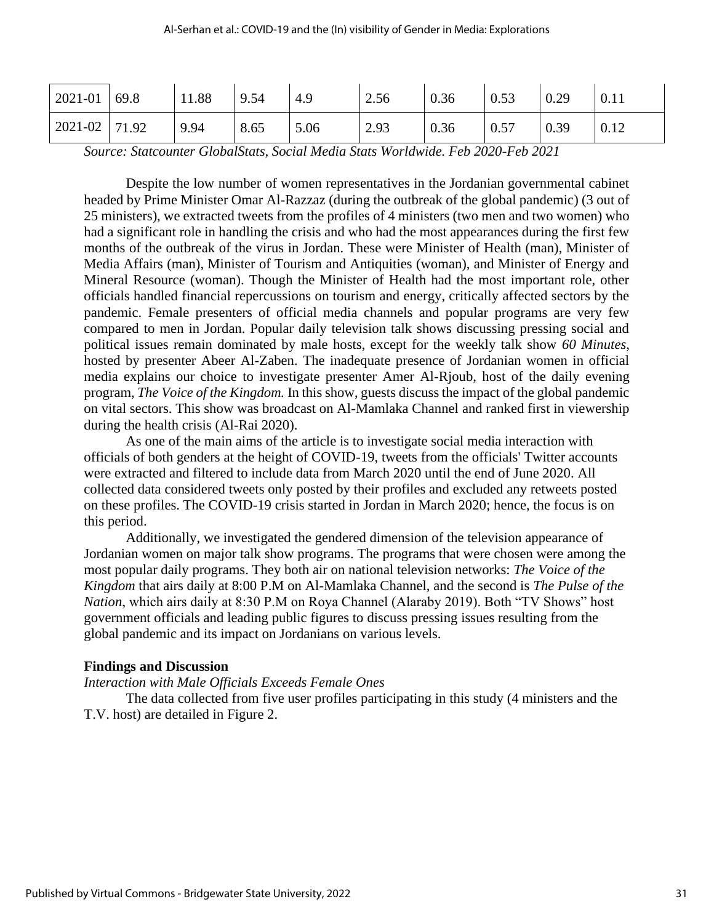| $2021 - 01$ 69.8  | 11.88 | 9.54 | 4.9  | 2.56 | 0.36 | 0.53 | 0.29 | 0.11 |
|-------------------|-------|------|------|------|------|------|------|------|
| $2021 - 02$ 71.92 | 9.94  | 8.65 | 5.06 | 2.93 | 0.36 | 0.57 | 0.39 | 0.12 |

*Source: Statcounter GlobalStats, Social Media Stats Worldwide. Feb 2020-Feb 2021*

Despite the low number of women representatives in the Jordanian governmental cabinet headed by Prime Minister Omar Al-Razzaz (during the outbreak of the global pandemic) (3 out of 25 ministers), we extracted tweets from the profiles of 4 ministers (two men and two women) who had a significant role in handling the crisis and who had the most appearances during the first few months of the outbreak of the virus in Jordan. These were Minister of Health (man), Minister of Media Affairs (man), Minister of Tourism and Antiquities (woman), and Minister of Energy and Mineral Resource (woman). Though the Minister of Health had the most important role, other officials handled financial repercussions on tourism and energy, critically affected sectors by the pandemic. Female presenters of official media channels and popular programs are very few compared to men in Jordan. Popular daily television talk shows discussing pressing social and political issues remain dominated by male hosts, except for the weekly talk show *60 Minutes*, hosted by presenter Abeer Al-Zaben. The inadequate presence of Jordanian women in official media explains our choice to investigate presenter Amer Al-Rjoub, host of the daily evening program, *The Voice of the Kingdom.* In this show, guests discuss the impact of the global pandemic on vital sectors. This show was broadcast on Al-Mamlaka Channel and ranked first in viewership during the health crisis (Al-Rai 2020).

As one of the main aims of the article is to investigate social media interaction with officials of both genders at the height of COVID-19, tweets from the officials' Twitter accounts were extracted and filtered to include data from March 2020 until the end of June 2020. All collected data considered tweets only posted by their profiles and excluded any retweets posted on these profiles. The COVID-19 crisis started in Jordan in March 2020; hence, the focus is on this period.

Additionally, we investigated the gendered dimension of the television appearance of Jordanian women on major talk show programs. The programs that were chosen were among the most popular daily programs. They both air on national television networks: *The Voice of the Kingdom* that airs daily at 8:00 P.M on Al-Mamlaka Channel, and the second is *The Pulse of the Nation*, which airs daily at 8:30 P.M on Roya Channel (Alaraby 2019). Both "TV Shows" host government officials and leading public figures to discuss pressing issues resulting from the global pandemic and its impact on Jordanians on various levels.

#### **Findings and Discussion**

#### *Interaction with Male Officials Exceeds Female Ones*

The data collected from five user profiles participating in this study (4 ministers and the T.V. host) are detailed in Figure 2.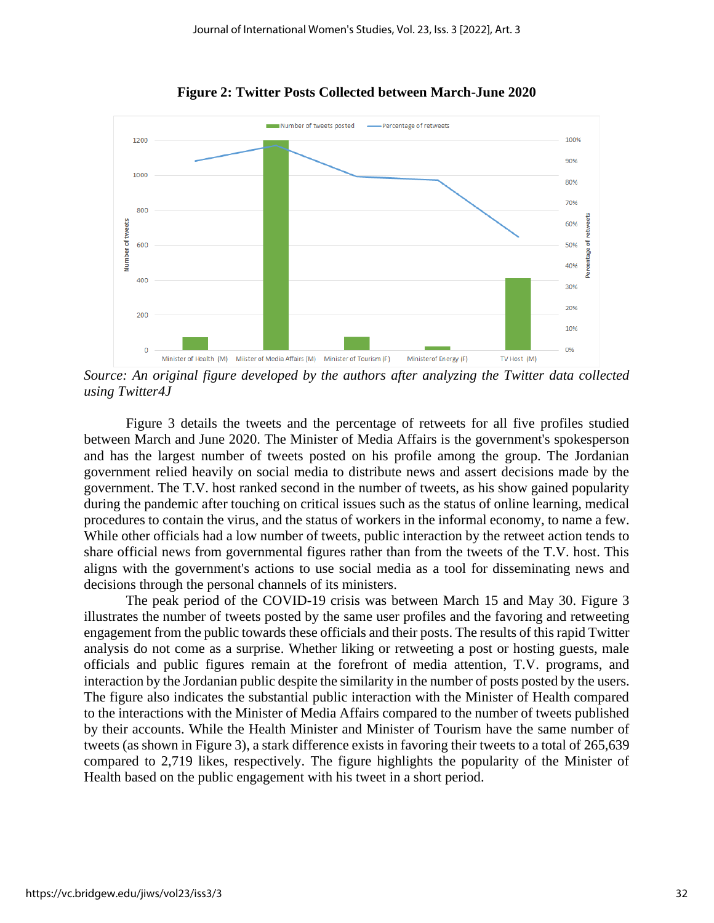

**Figure 2: Twitter Posts Collected between March-June 2020**

*Source: An original figure developed by the authors after analyzing the Twitter data collected using Twitter4J* 

Figure 3 details the tweets and the percentage of retweets for all five profiles studied between March and June 2020. The Minister of Media Affairs is the government's spokesperson and has the largest number of tweets posted on his profile among the group. The Jordanian government relied heavily on social media to distribute news and assert decisions made by the government. The T.V. host ranked second in the number of tweets, as his show gained popularity during the pandemic after touching on critical issues such as the status of online learning, medical procedures to contain the virus, and the status of workers in the informal economy, to name a few. While other officials had a low number of tweets, public interaction by the retweet action tends to share official news from governmental figures rather than from the tweets of the T.V. host. This aligns with the government's actions to use social media as a tool for disseminating news and decisions through the personal channels of its ministers.

The peak period of the COVID-19 crisis was between March 15 and May 30. Figure 3 illustrates the number of tweets posted by the same user profiles and the favoring and retweeting engagement from the public towards these officials and their posts. The results of this rapid Twitter analysis do not come as a surprise. Whether liking or retweeting a post or hosting guests, male officials and public figures remain at the forefront of media attention, T.V. programs, and interaction by the Jordanian public despite the similarity in the number of posts posted by the users. The figure also indicates the substantial public interaction with the Minister of Health compared to the interactions with the Minister of Media Affairs compared to the number of tweets published by their accounts. While the Health Minister and Minister of Tourism have the same number of tweets (as shown in Figure 3), a stark difference exists in favoring their tweets to a total of 265,639 compared to 2,719 likes, respectively. The figure highlights the popularity of the Minister of Health based on the public engagement with his tweet in a short period.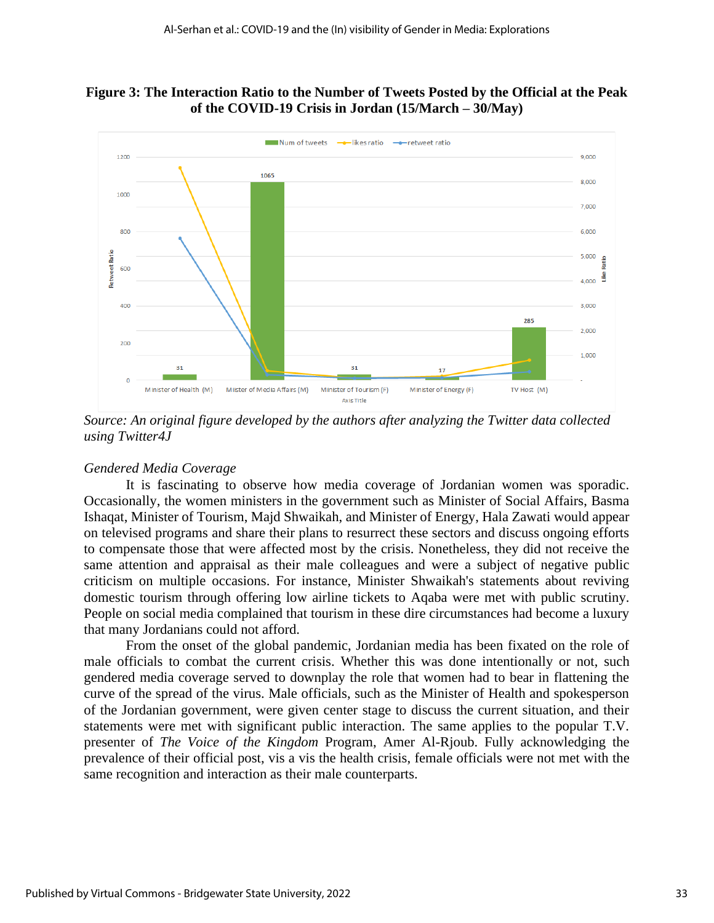



*Source: An original figure developed by the authors after analyzing the Twitter data collected using Twitter4J* 

## *Gendered Media Coverage*

It is fascinating to observe how media coverage of Jordanian women was sporadic. Occasionally, the women ministers in the government such as Minister of Social Affairs, Basma Ishaqat, Minister of Tourism, Majd Shwaikah, and Minister of Energy, Hala Zawati would appear on televised programs and share their plans to resurrect these sectors and discuss ongoing efforts to compensate those that were affected most by the crisis. Nonetheless, they did not receive the same attention and appraisal as their male colleagues and were a subject of negative public criticism on multiple occasions. For instance, Minister Shwaikah's statements about reviving domestic tourism through offering low airline tickets to Aqaba were met with public scrutiny. People on social media complained that tourism in these dire circumstances had become a luxury that many Jordanians could not afford.

From the onset of the global pandemic, Jordanian media has been fixated on the role of male officials to combat the current crisis. Whether this was done intentionally or not, such gendered media coverage served to downplay the role that women had to bear in flattening the curve of the spread of the virus. Male officials, such as the Minister of Health and spokesperson of the Jordanian government, were given center stage to discuss the current situation, and their statements were met with significant public interaction. The same applies to the popular T.V. presenter of *The Voice of the Kingdom* Program, Amer Al-Rjoub. Fully acknowledging the prevalence of their official post, vis a vis the health crisis, female officials were not met with the same recognition and interaction as their male counterparts.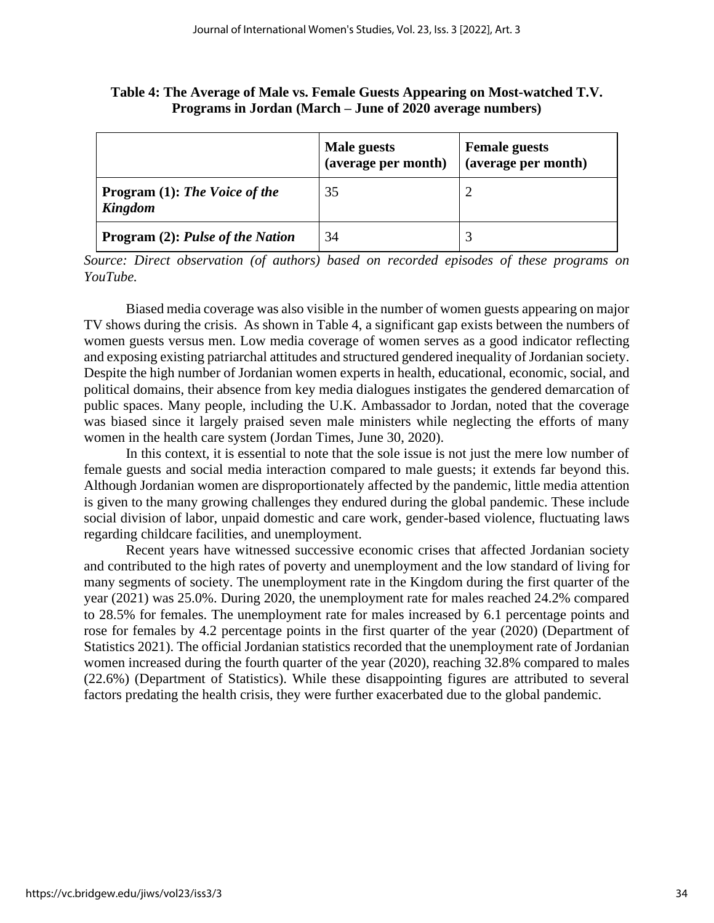|                                                        | Male guests<br>(average per month) | <b>Female guests</b><br>(average per month) |
|--------------------------------------------------------|------------------------------------|---------------------------------------------|
| <b>Program</b> (1): The Voice of the<br><b>Kingdom</b> | 35                                 |                                             |
| <b>Program (2): Pulse of the Nation</b>                | 34                                 |                                             |

**Table 4: The Average of Male vs. Female Guests Appearing on Most-watched T.V. Programs in Jordan (March – June of 2020 average numbers)**

*Source: Direct observation (of authors) based on recorded episodes of these programs on YouTube.* 

Biased media coverage was also visible in the number of women guests appearing on major TV shows during the crisis. As shown in Table 4, a significant gap exists between the numbers of women guests versus men. Low media coverage of women serves as a good indicator reflecting and exposing existing patriarchal attitudes and structured gendered inequality of Jordanian society. Despite the high number of Jordanian women experts in health, educational, economic, social, and political domains, their absence from key media dialogues instigates the gendered demarcation of public spaces. Many people, including the U.K. Ambassador to Jordan, noted that the coverage was biased since it largely praised seven male ministers while neglecting the efforts of many women in the health care system (Jordan Times, June 30, 2020).

In this context, it is essential to note that the sole issue is not just the mere low number of female guests and social media interaction compared to male guests; it extends far beyond this. Although Jordanian women are disproportionately affected by the pandemic, little media attention is given to the many growing challenges they endured during the global pandemic. These include social division of labor, unpaid domestic and care work, gender-based violence, fluctuating laws regarding childcare facilities, and unemployment.

Recent years have witnessed successive economic crises that affected Jordanian society and contributed to the high rates of poverty and unemployment and the low standard of living for many segments of society. The unemployment rate in the Kingdom during the first quarter of the year (2021) was 25.0%. During 2020, the unemployment rate for males reached 24.2% compared to 28.5% for females. The unemployment rate for males increased by 6.1 percentage points and rose for females by 4.2 percentage points in the first quarter of the year (2020) (Department of Statistics 2021). The official Jordanian statistics recorded that the unemployment rate of Jordanian women increased during the fourth quarter of the year (2020), reaching 32.8% compared to males (22.6%) (Department of Statistics). While these disappointing figures are attributed to several factors predating the health crisis, they were further exacerbated due to the global pandemic.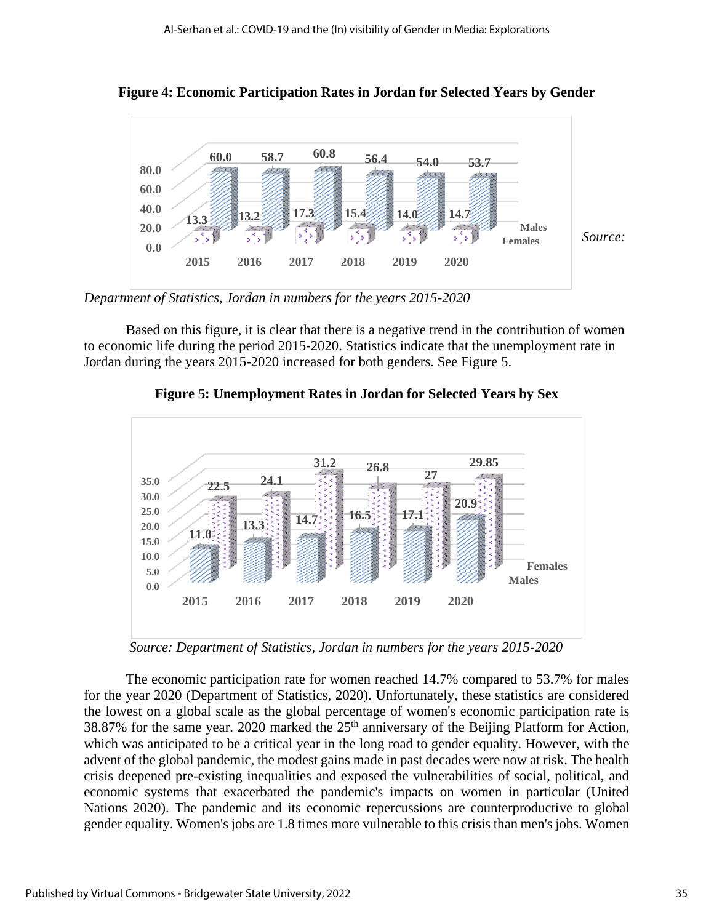

**Figure 4: Economic Participation Rates in Jordan for Selected Years by Gender**

*Department of Statistics, Jordan in numbers for the years 2015-2020*

Based on this figure, it is clear that there is a negative trend in the contribution of women to economic life during the period 2015-2020. Statistics indicate that the unemployment rate in Jordan during the years 2015-2020 increased for both genders. See Figure 5.



**Figure 5: Unemployment Rates in Jordan for Selected Years by Sex**

*Source: Department of Statistics, Jordan in numbers for the years 2015-2020*

The economic participation rate for women reached 14.7% compared to 53.7% for males for the year 2020 (Department of Statistics, 2020). Unfortunately, these statistics are considered the lowest on a global scale as the global percentage of women's economic participation rate is 38.87% for the same year. 2020 marked the  $25<sup>th</sup>$  anniversary of the Beijing Platform for Action, which was anticipated to be a critical year in the long road to gender equality. However, with the advent of the global pandemic, the modest gains made in past decades were now at risk. The health crisis deepened pre-existing inequalities and exposed the vulnerabilities of social, political, and economic systems that exacerbated the pandemic's impacts on women in particular (United Nations 2020). The pandemic and its economic repercussions are counterproductive to global gender equality. Women's jobs are 1.8 times more vulnerable to this crisis than men's jobs. Women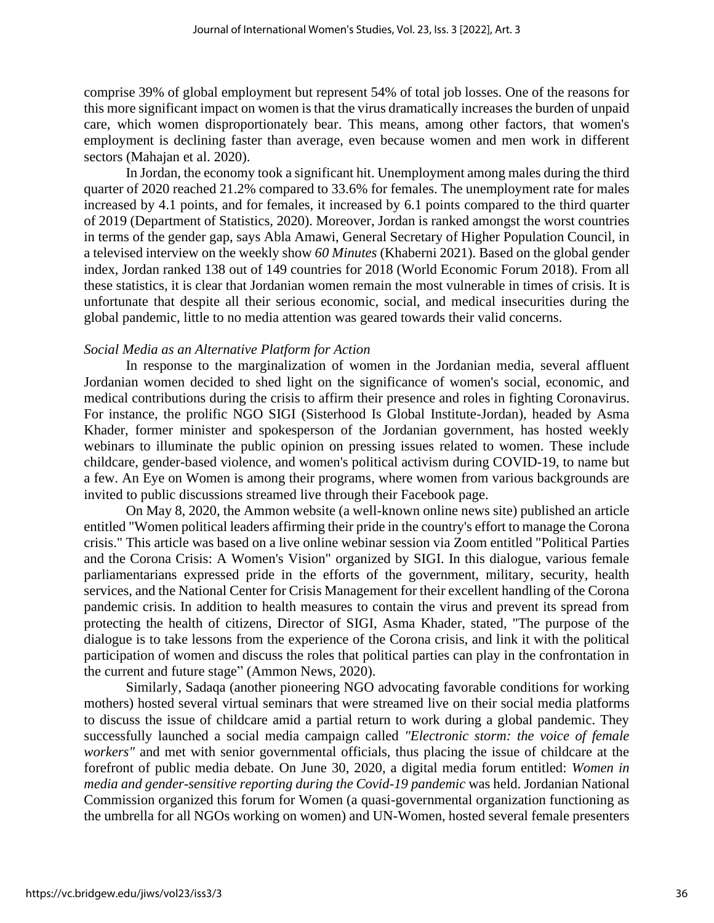comprise 39% of global employment but represent 54% of total job losses. One of the reasons for this more significant impact on women is that the virus dramatically increases the burden of unpaid care, which women disproportionately bear. This means, among other factors, that women's employment is declining faster than average, even because women and men work in different sectors (Mahajan et al. 2020).

In Jordan, the economy took a significant hit. Unemployment among males during the third quarter of 2020 reached 21.2% compared to 33.6% for females. The unemployment rate for males increased by 4.1 points, and for females, it increased by 6.1 points compared to the third quarter of 2019 (Department of Statistics, 2020). Moreover, Jordan is ranked amongst the worst countries in terms of the gender gap, says Abla Amawi, General Secretary of Higher Population Council, in a televised interview on the weekly show *60 Minutes* (Khaberni 2021). Based on the global gender index, Jordan ranked 138 out of 149 countries for 2018 (World Economic Forum 2018). From all these statistics, it is clear that Jordanian women remain the most vulnerable in times of crisis. It is unfortunate that despite all their serious economic, social, and medical insecurities during the global pandemic, little to no media attention was geared towards their valid concerns.

#### *Social Media as an Alternative Platform for Action*

In response to the marginalization of women in the Jordanian media, several affluent Jordanian women decided to shed light on the significance of women's social, economic, and medical contributions during the crisis to affirm their presence and roles in fighting Coronavirus. For instance, the prolific NGO SIGI (Sisterhood Is Global Institute-Jordan), headed by Asma Khader, former minister and spokesperson of the Jordanian government, has hosted weekly webinars to illuminate the public opinion on pressing issues related to women. These include childcare, gender-based violence, and women's political activism during COVID-19, to name but a few. An Eye on Women is among their programs*,* where women from various backgrounds are invited to public discussions streamed live through their Facebook page.

On May 8, 2020, the Ammon website (a well-known online news site) published an article entitled "Women political leaders affirming their pride in the country's effort to manage the Corona crisis." This article was based on a live online webinar session via Zoom entitled "Political Parties and the Corona Crisis: A Women's Vision" organized by SIGI. In this dialogue, various female parliamentarians expressed pride in the efforts of the government, military, security, health services, and the National Center for Crisis Management for their excellent handling of the Corona pandemic crisis. In addition to health measures to contain the virus and prevent its spread from protecting the health of citizens, Director of SIGI, Asma Khader, stated, "The purpose of the dialogue is to take lessons from the experience of the Corona crisis, and link it with the political participation of women and discuss the roles that political parties can play in the confrontation in the current and future stage" (Ammon News, 2020).

Similarly, Sadaqa (another pioneering NGO advocating favorable conditions for working mothers) hosted several virtual seminars that were streamed live on their social media platforms to discuss the issue of childcare amid a partial return to work during a global pandemic. They successfully launched a social media campaign called *"Electronic storm: the voice of female workers"* and met with senior governmental officials, thus placing the issue of childcare at the forefront of public media debate. On June 30, 2020, a digital media forum entitled: *Women in media and gender-sensitive reporting during the Covid-19 pandemic* was held. Jordanian National Commission organized this forum for Women (a quasi-governmental organization functioning as the umbrella for all NGOs working on women) and UN-Women, hosted several female presenters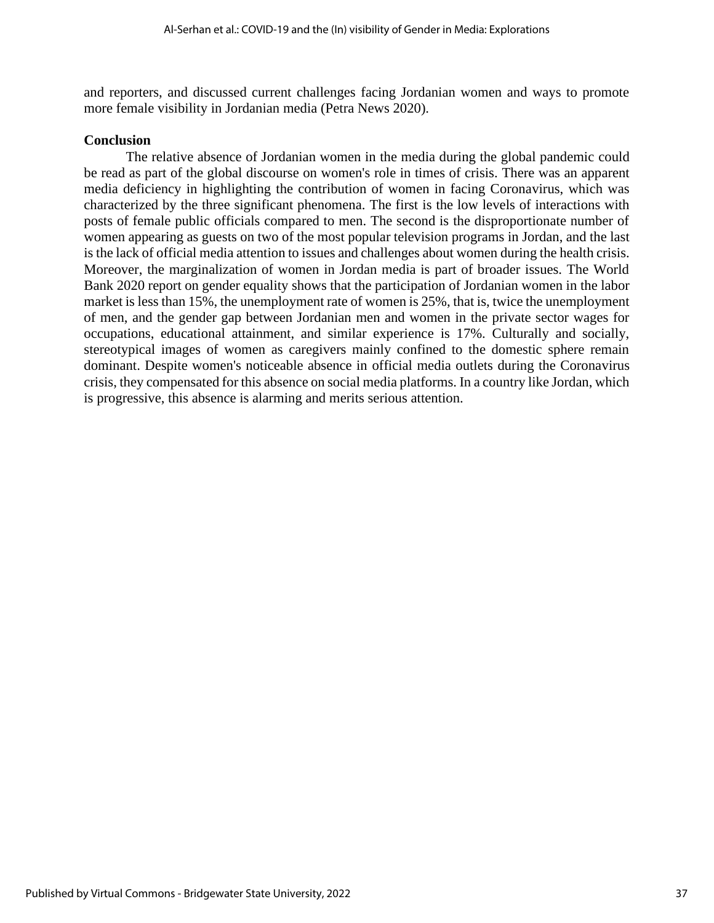and reporters, and discussed current challenges facing Jordanian women and ways to promote more female visibility in Jordanian media (Petra News 2020).

#### **Conclusion**

The relative absence of Jordanian women in the media during the global pandemic could be read as part of the global discourse on women's role in times of crisis. There was an apparent media deficiency in highlighting the contribution of women in facing Coronavirus, which was characterized by the three significant phenomena. The first is the low levels of interactions with posts of female public officials compared to men. The second is the disproportionate number of women appearing as guests on two of the most popular television programs in Jordan, and the last is the lack of official media attention to issues and challenges about women during the health crisis. Moreover, the marginalization of women in Jordan media is part of broader issues. The World Bank 2020 report on gender equality shows that the participation of Jordanian women in the labor market is less than 15%, the unemployment rate of women is 25%, that is, twice the unemployment of men, and the gender gap between Jordanian men and women in the private sector wages for occupations, educational attainment, and similar experience is 17%. Culturally and socially, stereotypical images of women as caregivers mainly confined to the domestic sphere remain dominant. Despite women's noticeable absence in official media outlets during the Coronavirus crisis, they compensated for this absence on social media platforms. In a country like Jordan, which is progressive, this absence is alarming and merits serious attention.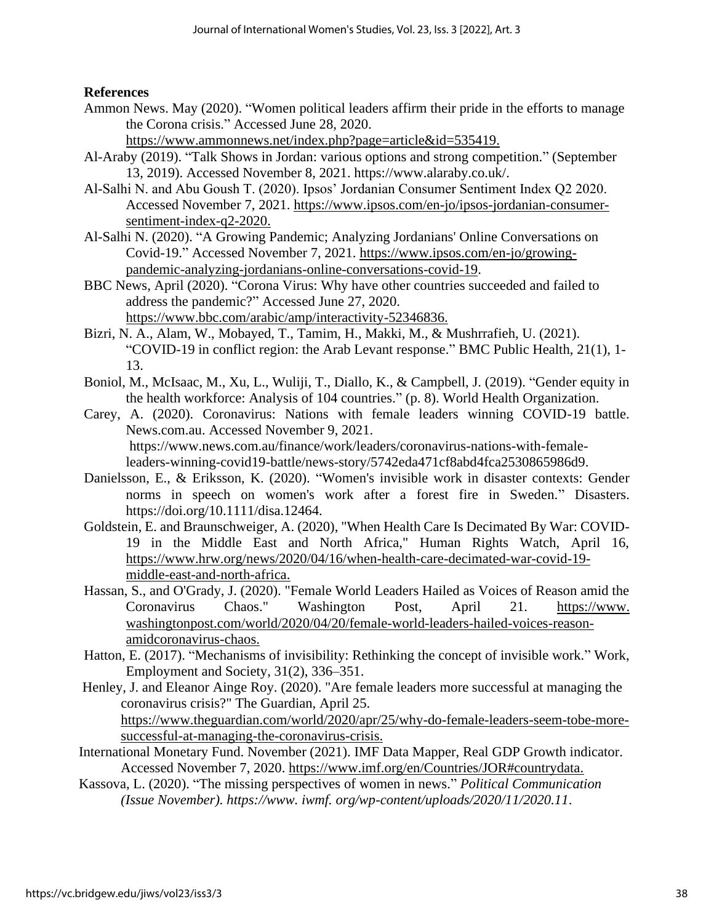## **References**

Ammon News. May (2020). "Women political leaders affirm their pride in the efforts to manage the Corona crisis." Accessed June 28, 2020.

[https://www.ammonnews.net/index.php?page=article&id=535419.](https://www.ammonnews.net/index.php?page=article&id=535419)

- Al-Araby (2019). "Talk Shows in Jordan: various options and strong competition." (September 13, 2019). Accessed November 8, 2021. https://www.alaraby.co.uk/.
- Al-Salhi N. and Abu Goush T. (2020). Ipsos' Jordanian Consumer Sentiment Index Q2 2020. Accessed November 7, 2021. [https://www.ipsos.com/en-jo/ipsos-jordanian-consumer](https://www.ipsos.com/en-jo/ipsos-jordanian-consumer-sentiment-index-q2-2020)[sentiment-index-q2-2020.](https://www.ipsos.com/en-jo/ipsos-jordanian-consumer-sentiment-index-q2-2020)
- Al-Salhi N. (2020). "A Growing Pandemic; Analyzing Jordanians' Online Conversations on Covid-19." Accessed November 7, 2021. [https://www.ipsos.com/en-jo/growing](https://www.ipsos.com/en-jo/growing-pandemic-analyzing-jordanians-online-conversations-covid-19)[pandemic-analyzing-jordanians-online-conversations-covid-19.](https://www.ipsos.com/en-jo/growing-pandemic-analyzing-jordanians-online-conversations-covid-19)
- BBC News, April (2020). "Corona Virus: Why have other countries succeeded and failed to address the pandemic?" Accessed June 27, 2020. [https://www.bbc.com/arabic/amp/interactivity-52346836.](https://www.bbc.com/arabic/amp/interactivity-52346836)
- Bizri, N. A., Alam, W., Mobayed, T., Tamim, H., Makki, M., & Mushrrafieh, U. (2021). "COVID-19 in conflict region: the Arab Levant response." BMC Public Health, 21(1), 1- 13.
- Boniol, M., McIsaac, M., Xu, L., Wuliji, T., Diallo, K., & Campbell, J. (2019). "Gender equity in the health workforce: Analysis of 104 countries." (p. 8). World Health Organization.
- Carey, A. (2020). Coronavirus: Nations with female leaders winning COVID-19 battle. News.com.au. Accessed November 9, 2021. https://www.news.com.au/finance/work/leaders/coronavirus-nations-with-femaleleaders-winning-covid19-battle/news-story/5742eda471cf8abd4fca2530865986d9.
- Danielsson, E., & Eriksson, K. (2020). "Women's invisible work in disaster contexts: Gender norms in speech on women's work after a forest fire in Sweden." Disasters. https://doi.org/10.1111/disa.12464.
- Goldstein, E. and Braunschweiger, A. (2020), "When Health Care Is Decimated By War: COVID-19 in the Middle East and North Africa," Human Rights Watch, April 16, [https://www.hrw.org/news/2020/04/16/when-health-care-decimated-war-covid-19](https://www.hrw.org/news/2020/04/16/when-health-care-decimated-war-covid-19-middle-east-and-north-africa) [middle-east-and-north-africa.](https://www.hrw.org/news/2020/04/16/when-health-care-decimated-war-covid-19-middle-east-and-north-africa)
- Hassan, S., and O'Grady, J. (2020). "Female World Leaders Hailed as Voices of Reason amid the Coronavirus Chaos." Washington Post, April 21. https://www. washingtonpost.com/world/2020/04/20/female-world-leaders-hailed-voices-reasonamidcoronavirus-chaos.
- Hatton, E. (2017). "Mechanisms of invisibility: Rethinking the concept of invisible work." Work, Employment and Society, 31(2), 336–351.
- Henley, J. and Eleanor Ainge Roy. (2020). "Are female leaders more successful at managing the coronavirus crisis?" The Guardian, April 25. [https://www.theguardian.com/world/2020/apr/25/why-do-female-leaders-seem-tobe-more](https://www.theguardian.com/world/2020/apr/25/why-do-female-leaders-seem-tobe-more-successful-at-managing-the-coronavirus-crisis)[successful-at-managing-the-coronavirus-crisis.](https://www.theguardian.com/world/2020/apr/25/why-do-female-leaders-seem-tobe-more-successful-at-managing-the-coronavirus-crisis)
- International Monetary Fund. November (2021). IMF Data Mapper, Real GDP Growth indicator. Accessed November 7, 2020. [https://www.imf.org/en/Countries/JOR#countrydata.](https://www.imf.org/en/Countries/JOR%23countrydata)
- Kassova, L. (2020). "The missing perspectives of women in news." *Political Communication (Issue November). https://www. iwmf. org/wp-content/uploads/2020/11/2020.11*.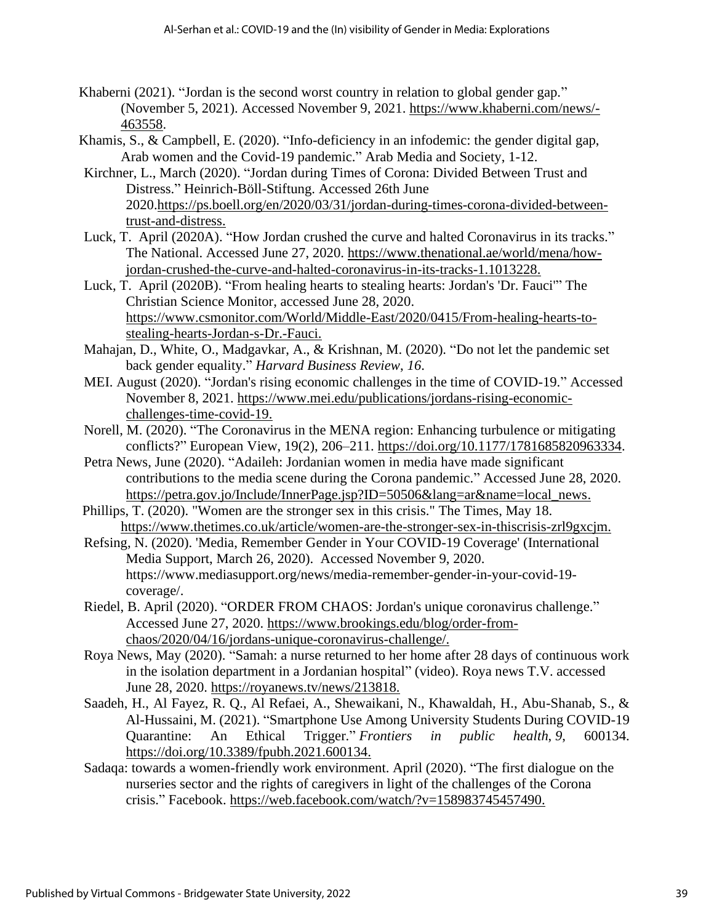- Khaberni (2021). "Jordan is the second worst country in relation to global gender gap." (November 5, 2021). Accessed November 9, 2021. [https://www.khaberni.com/news/-](https://www.khaberni.com/news/-463558) [463558.](https://www.khaberni.com/news/-463558)
- Khamis, S., & Campbell, E. (2020). "Info-deficiency in an infodemic: the gender digital gap, Arab women and the Covid-19 pandemic." Arab Media and Society, 1-12.
- Kirchner, L., March (2020). "Jordan during Times of Corona: Divided Between Trust and Distress." Heinrich-Böll-Stiftung. Accessed 26th June 2020[.https://ps.boell.org/en/2020/03/31/jordan-during-times-corona-divided-between](https://ps.boell.org/en/2020/03/31/jordan-during-times-corona-divided-between-trust-and-distress)[trust-and-distress.](https://ps.boell.org/en/2020/03/31/jordan-during-times-corona-divided-between-trust-and-distress)
- Luck, T. April (2020A). "How Jordan crushed the curve and halted Coronavirus in its tracks." The National. Accessed June 27, 2020. [https://www.thenational.ae/world/mena/how](https://www.thenational.ae/world/mena/how-jordan-crushed-the-curve-and-halted-coronavirus-in-its-tracks-1.1013228)[jordan-crushed-the-curve-and-halted-coronavirus-in-its-tracks-1.1013228.](https://www.thenational.ae/world/mena/how-jordan-crushed-the-curve-and-halted-coronavirus-in-its-tracks-1.1013228)
- Luck, T. April (2020B). "From healing hearts to stealing hearts: Jordan's 'Dr. Fauci'" The Christian Science Monitor, accessed June 28, 2020. [https://www.csmonitor.com/World/Middle-East/2020/0415/From-healing-hearts-to](https://www.csmonitor.com/World/Middle-East/2020/0415/From-healing-hearts-to-stealing-hearts-Jordan-s-Dr.-Fauci)[stealing-hearts-Jordan-s-Dr.-Fauci.](https://www.csmonitor.com/World/Middle-East/2020/0415/From-healing-hearts-to-stealing-hearts-Jordan-s-Dr.-Fauci)
- Mahajan, D., White, O., Madgavkar, A., & Krishnan, M. (2020). "Do not let the pandemic set back gender equality." *Harvard Business Review*, *16*.
- MEI. August (2020). "Jordan's rising economic challenges in the time of COVID-19." Accessed November 8, 2021. [https://www.mei.edu/publications/jordans-rising-economic](https://www.mei.edu/publications/jordans-rising-economic-challenges-time-covid-19)[challenges-time-covid-19.](https://www.mei.edu/publications/jordans-rising-economic-challenges-time-covid-19)
- Norell, M. (2020). "The Coronavirus in the MENA region: Enhancing turbulence or mitigating conflicts?" European View, 19(2), 206–211. [https://doi.org/10.1177/1781685820963334.](https://doi.org/10.1177/1781685820963334)
- Petra News, June (2020). "Adaileh: Jordanian women in media have made significant contributions to the media scene during the Corona pandemic." Accessed June 28, 2020. [https://petra.gov.jo/Include/InnerPage.jsp?ID=50506&lang=ar&name=local\\_news.](https://petra.gov.jo/Include/InnerPage.jsp?ID=50506&lang=ar&name=local_news)
- Phillips, T. (2020). "Women are the stronger sex in this crisis." The Times, May 18. [https://www.thetimes.co.uk/article/women-are-the-stronger-sex-in-thiscrisis-zrl9gxcjm.](https://www.thetimes.co.uk/article/women-are-the-stronger-sex-in-thiscrisis-zrl9gxcjm)
- Refsing, N. (2020). 'Media, Remember Gender in Your COVID-19 Coverage' (International Media Support, March 26, 2020). Accessed November 9, 2020. https://www.mediasupport.org/news/media-remember-gender-in-your-covid-19 coverage/.
- Riedel, B. April (2020). "ORDER FROM CHAOS: Jordan's unique coronavirus challenge." Accessed June 27, 2020. [https://www.brookings.edu/blog/order-from](https://www.brookings.edu/blog/order-from-chaos/2020/04/16/jordans-unique-coronavirus-challenge/)[chaos/2020/04/16/jordans-unique-coronavirus-challenge/.](https://www.brookings.edu/blog/order-from-chaos/2020/04/16/jordans-unique-coronavirus-challenge/)
- Roya News, May (2020). "Samah: a nurse returned to her home after 28 days of continuous work in the isolation department in a Jordanian hospital" (video). Roya news T.V. accessed June 28, 2020. [https://royanews.tv/news/213818.](https://royanews.tv/news/213818)
- Saadeh, H., Al Fayez, R. Q., Al Refaei, A., Shewaikani, N., Khawaldah, H., Abu-Shanab, S., & Al-Hussaini, M. (2021). "Smartphone Use Among University Students During COVID-19 Quarantine: An Ethical Trigger." *Frontiers in public health*, *9*, 600134. [https://doi.org/10.3389/fpubh.2021.600134.](https://doi.org/10.3389/fpubh.2021.600134)
- Sadaqa: towards a women-friendly work environment. April (2020). "The first dialogue on the nurseries sector and the rights of caregivers in light of the challenges of the Corona crisis." Facebook. [https://web.facebook.com/watch/?v=158983745457490.](https://web.facebook.com/watch/?v=158983745457490)